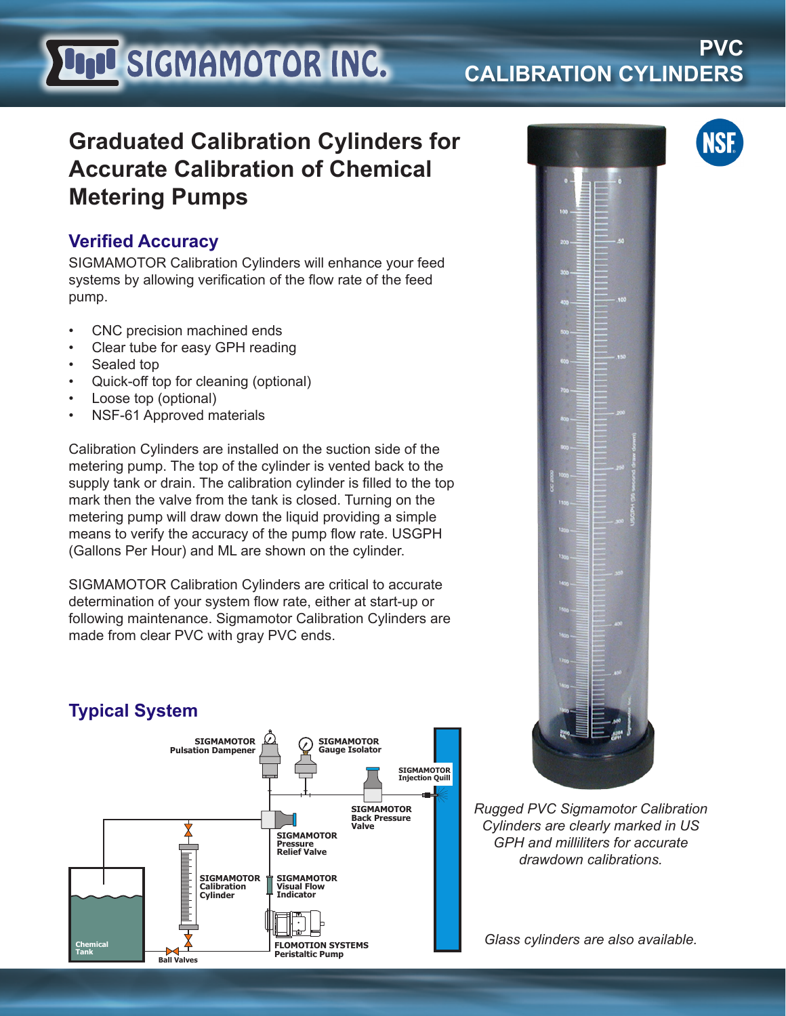# **LIJU SIGMAMOTOR INC.**

## **PVC CALIBRATION CYLINDERS**

# **Graduated Calibration Cylinders for Accurate Calibration of Chemical Metering Pumps**

### **Verified Accuracy**

SIGMAMOTOR Calibration Cylinders will enhance your feed systems by allowing verification of the flow rate of the feed pump.

- CNC precision machined ends
- Clear tube for easy GPH reading
- Sealed top
- Quick-off top for cleaning (optional)
- Loose top (optional)
- NSF-61 Approved materials

Calibration Cylinders are installed on the suction side of the metering pump. The top of the cylinder is vented back to the supply tank or drain. The calibration cylinder is filled to the top mark then the valve from the tank is closed. Turning on the metering pump will draw down the liquid providing a simple means to verify the accuracy of the pump flow rate. USGPH (Gallons Per Hour) and ML are shown on the cylinder.

SIGMAMOTOR Calibration Cylinders are critical to accurate determination of your system flow rate, either at start-up or following maintenance. Sigmamotor Calibration Cylinders are made from clear PVC with gray PVC ends.





*Rugged PVC Sigmamotor Calibration Cylinders are clearly marked in US GPH and milliliters for accurate drawdown calibrations.*

*Glass cylinders are also available.*